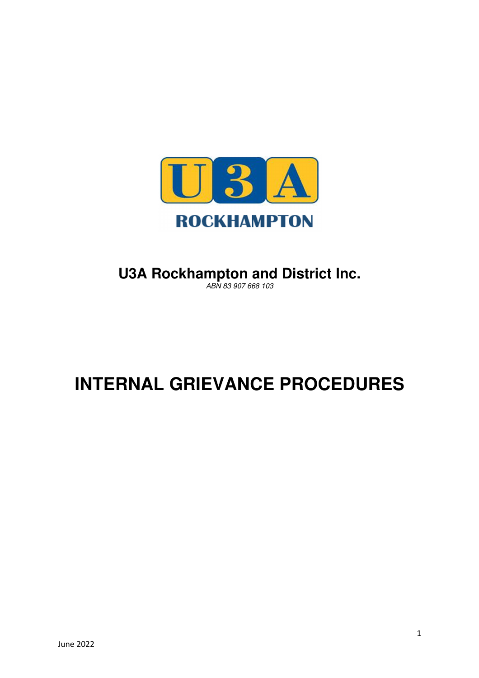

# **U3A Rockhampton and District Inc.**

ABN 83 907 668 103

# **INTERNAL GRIEVANCE PROCEDURES**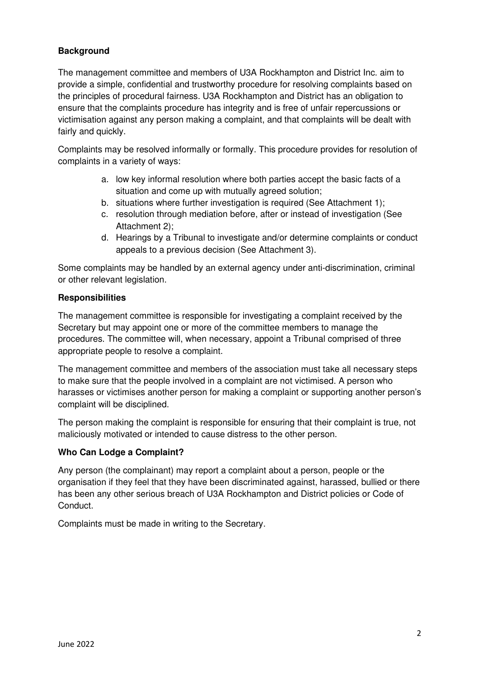# **Background**

The management committee and members of U3A Rockhampton and District Inc. aim to provide a simple, confidential and trustworthy procedure for resolving complaints based on the principles of procedural fairness. U3A Rockhampton and District has an obligation to ensure that the complaints procedure has integrity and is free of unfair repercussions or victimisation against any person making a complaint, and that complaints will be dealt with fairly and quickly.

Complaints may be resolved informally or formally. This procedure provides for resolution of complaints in a variety of ways:

- a. low key informal resolution where both parties accept the basic facts of a situation and come up with mutually agreed solution;
- b. situations where further investigation is required (See Attachment 1);
- c. resolution through mediation before, after or instead of investigation (See Attachment 2);
- d. Hearings by a Tribunal to investigate and/or determine complaints or conduct appeals to a previous decision (See Attachment 3).

Some complaints may be handled by an external agency under anti-discrimination, criminal or other relevant legislation.

#### **Responsibilities**

The management committee is responsible for investigating a complaint received by the Secretary but may appoint one or more of the committee members to manage the procedures. The committee will, when necessary, appoint a Tribunal comprised of three appropriate people to resolve a complaint.

The management committee and members of the association must take all necessary steps to make sure that the people involved in a complaint are not victimised. A person who harasses or victimises another person for making a complaint or supporting another person's complaint will be disciplined.

The person making the complaint is responsible for ensuring that their complaint is true, not maliciously motivated or intended to cause distress to the other person.

### **Who Can Lodge a Complaint?**

Any person (the complainant) may report a complaint about a person, people or the organisation if they feel that they have been discriminated against, harassed, bullied or there has been any other serious breach of U3A Rockhampton and District policies or Code of Conduct.

Complaints must be made in writing to the Secretary.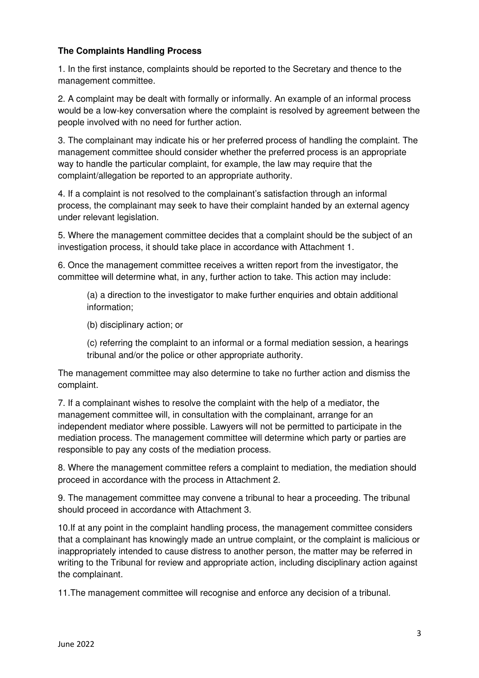#### **The Complaints Handling Process**

1. In the first instance, complaints should be reported to the Secretary and thence to the management committee.

2. A complaint may be dealt with formally or informally. An example of an informal process would be a low-key conversation where the complaint is resolved by agreement between the people involved with no need for further action.

3. The complainant may indicate his or her preferred process of handling the complaint. The management committee should consider whether the preferred process is an appropriate way to handle the particular complaint, for example, the law may require that the complaint/allegation be reported to an appropriate authority.

4. If a complaint is not resolved to the complainant's satisfaction through an informal process, the complainant may seek to have their complaint handed by an external agency under relevant legislation.

5. Where the management committee decides that a complaint should be the subject of an investigation process, it should take place in accordance with Attachment 1.

6. Once the management committee receives a written report from the investigator, the committee will determine what, in any, further action to take. This action may include:

(a) a direction to the investigator to make further enquiries and obtain additional information;

(b) disciplinary action; or

(c) referring the complaint to an informal or a formal mediation session, a hearings tribunal and/or the police or other appropriate authority.

The management committee may also determine to take no further action and dismiss the complaint.

7. If a complainant wishes to resolve the complaint with the help of a mediator, the management committee will, in consultation with the complainant, arrange for an independent mediator where possible. Lawyers will not be permitted to participate in the mediation process. The management committee will determine which party or parties are responsible to pay any costs of the mediation process.

8. Where the management committee refers a complaint to mediation, the mediation should proceed in accordance with the process in Attachment 2.

9. The management committee may convene a tribunal to hear a proceeding. The tribunal should proceed in accordance with Attachment 3.

10.If at any point in the complaint handling process, the management committee considers that a complainant has knowingly made an untrue complaint, or the complaint is malicious or inappropriately intended to cause distress to another person, the matter may be referred in writing to the Tribunal for review and appropriate action, including disciplinary action against the complainant.

11.The management committee will recognise and enforce any decision of a tribunal.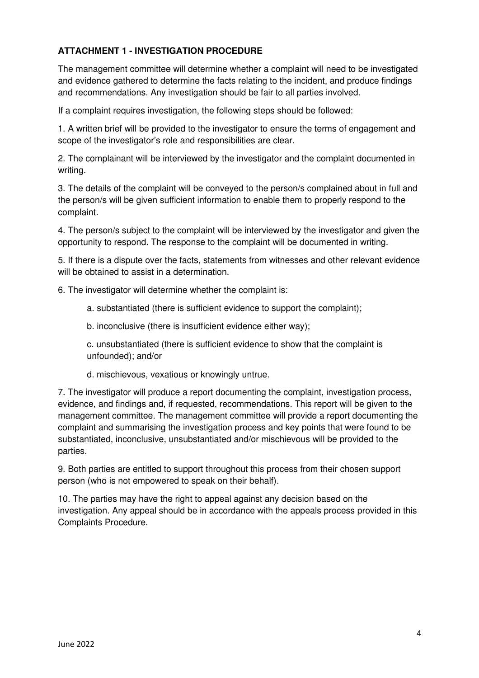# **ATTACHMENT 1 - INVESTIGATION PROCEDURE**

The management committee will determine whether a complaint will need to be investigated and evidence gathered to determine the facts relating to the incident, and produce findings and recommendations. Any investigation should be fair to all parties involved.

If a complaint requires investigation, the following steps should be followed:

1. A written brief will be provided to the investigator to ensure the terms of engagement and scope of the investigator's role and responsibilities are clear.

2. The complainant will be interviewed by the investigator and the complaint documented in writing.

3. The details of the complaint will be conveyed to the person/s complained about in full and the person/s will be given sufficient information to enable them to properly respond to the complaint.

4. The person/s subject to the complaint will be interviewed by the investigator and given the opportunity to respond. The response to the complaint will be documented in writing.

5. If there is a dispute over the facts, statements from witnesses and other relevant evidence will be obtained to assist in a determination

6. The investigator will determine whether the complaint is:

a. substantiated (there is sufficient evidence to support the complaint);

b. inconclusive (there is insufficient evidence either way);

c. unsubstantiated (there is sufficient evidence to show that the complaint is unfounded); and/or

d. mischievous, vexatious or knowingly untrue.

7. The investigator will produce a report documenting the complaint, investigation process, evidence, and findings and, if requested, recommendations. This report will be given to the management committee. The management committee will provide a report documenting the complaint and summarising the investigation process and key points that were found to be substantiated, inconclusive, unsubstantiated and/or mischievous will be provided to the parties.

9. Both parties are entitled to support throughout this process from their chosen support person (who is not empowered to speak on their behalf).

10. The parties may have the right to appeal against any decision based on the investigation. Any appeal should be in accordance with the appeals process provided in this Complaints Procedure.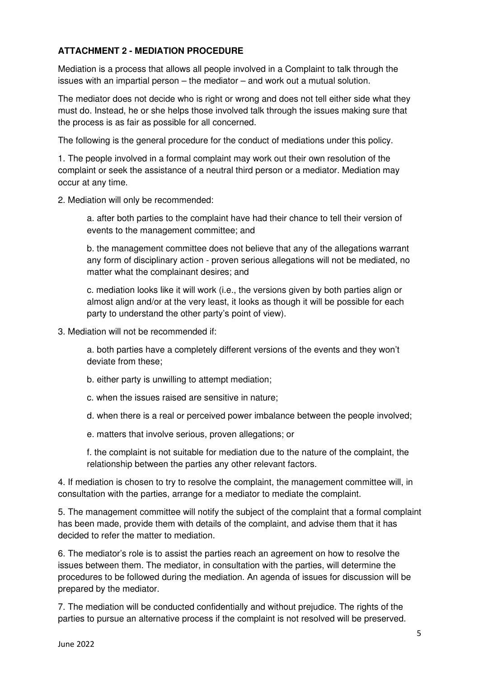# **ATTACHMENT 2 - MEDIATION PROCEDURE**

Mediation is a process that allows all people involved in a Complaint to talk through the issues with an impartial person – the mediator – and work out a mutual solution.

The mediator does not decide who is right or wrong and does not tell either side what they must do. Instead, he or she helps those involved talk through the issues making sure that the process is as fair as possible for all concerned.

The following is the general procedure for the conduct of mediations under this policy.

1. The people involved in a formal complaint may work out their own resolution of the complaint or seek the assistance of a neutral third person or a mediator. Mediation may occur at any time.

2. Mediation will only be recommended:

a. after both parties to the complaint have had their chance to tell their version of events to the management committee; and

b. the management committee does not believe that any of the allegations warrant any form of disciplinary action - proven serious allegations will not be mediated, no matter what the complainant desires; and

c. mediation looks like it will work (i.e., the versions given by both parties align or almost align and/or at the very least, it looks as though it will be possible for each party to understand the other party's point of view).

3. Mediation will not be recommended if:

a. both parties have a completely different versions of the events and they won't deviate from these;

b. either party is unwilling to attempt mediation;

- c. when the issues raised are sensitive in nature;
- d. when there is a real or perceived power imbalance between the people involved;
- e. matters that involve serious, proven allegations; or

f. the complaint is not suitable for mediation due to the nature of the complaint, the relationship between the parties any other relevant factors.

4. If mediation is chosen to try to resolve the complaint, the management committee will, in consultation with the parties, arrange for a mediator to mediate the complaint.

5. The management committee will notify the subject of the complaint that a formal complaint has been made, provide them with details of the complaint, and advise them that it has decided to refer the matter to mediation.

6. The mediator's role is to assist the parties reach an agreement on how to resolve the issues between them. The mediator, in consultation with the parties, will determine the procedures to be followed during the mediation. An agenda of issues for discussion will be prepared by the mediator.

7. The mediation will be conducted confidentially and without prejudice. The rights of the parties to pursue an alternative process if the complaint is not resolved will be preserved.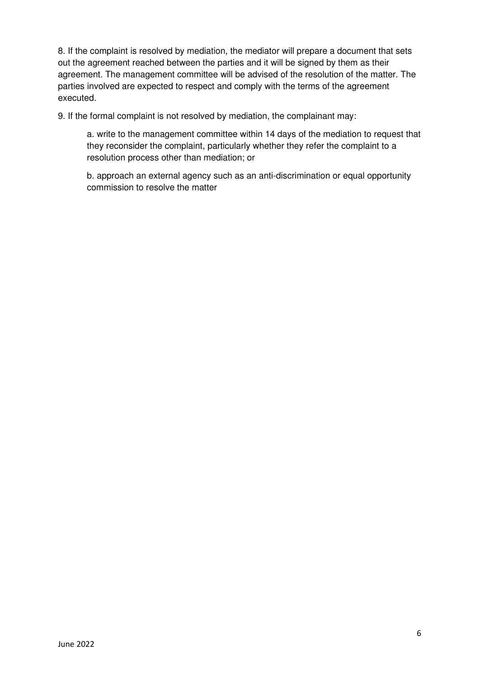8. If the complaint is resolved by mediation, the mediator will prepare a document that sets out the agreement reached between the parties and it will be signed by them as their agreement. The management committee will be advised of the resolution of the matter. The parties involved are expected to respect and comply with the terms of the agreement executed.

9. If the formal complaint is not resolved by mediation, the complainant may:

a. write to the management committee within 14 days of the mediation to request that they reconsider the complaint, particularly whether they refer the complaint to a resolution process other than mediation; or

b. approach an external agency such as an anti-discrimination or equal opportunity commission to resolve the matter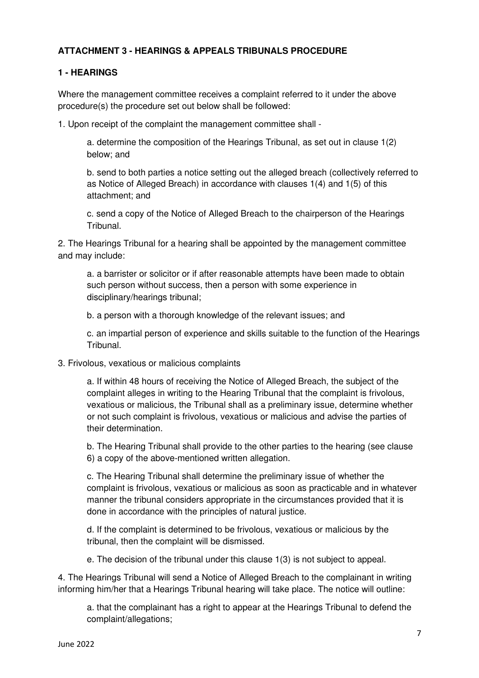# **ATTACHMENT 3 - HEARINGS & APPEALS TRIBUNALS PROCEDURE**

#### **1 - HEARINGS**

Where the management committee receives a complaint referred to it under the above procedure(s) the procedure set out below shall be followed:

1. Upon receipt of the complaint the management committee shall -

a. determine the composition of the Hearings Tribunal, as set out in clause 1(2) below; and

b. send to both parties a notice setting out the alleged breach (collectively referred to as Notice of Alleged Breach) in accordance with clauses 1(4) and 1(5) of this attachment; and

c. send a copy of the Notice of Alleged Breach to the chairperson of the Hearings Tribunal.

2. The Hearings Tribunal for a hearing shall be appointed by the management committee and may include:

a. a barrister or solicitor or if after reasonable attempts have been made to obtain such person without success, then a person with some experience in disciplinary/hearings tribunal;

b. a person with a thorough knowledge of the relevant issues; and

c. an impartial person of experience and skills suitable to the function of the Hearings Tribunal.

#### 3. Frivolous, vexatious or malicious complaints

a. If within 48 hours of receiving the Notice of Alleged Breach, the subject of the complaint alleges in writing to the Hearing Tribunal that the complaint is frivolous, vexatious or malicious, the Tribunal shall as a preliminary issue, determine whether or not such complaint is frivolous, vexatious or malicious and advise the parties of their determination.

b. The Hearing Tribunal shall provide to the other parties to the hearing (see clause 6) a copy of the above-mentioned written allegation.

c. The Hearing Tribunal shall determine the preliminary issue of whether the complaint is frivolous, vexatious or malicious as soon as practicable and in whatever manner the tribunal considers appropriate in the circumstances provided that it is done in accordance with the principles of natural justice.

d. If the complaint is determined to be frivolous, vexatious or malicious by the tribunal, then the complaint will be dismissed.

e. The decision of the tribunal under this clause 1(3) is not subject to appeal.

4. The Hearings Tribunal will send a Notice of Alleged Breach to the complainant in writing informing him/her that a Hearings Tribunal hearing will take place. The notice will outline:

a. that the complainant has a right to appear at the Hearings Tribunal to defend the complaint/allegations;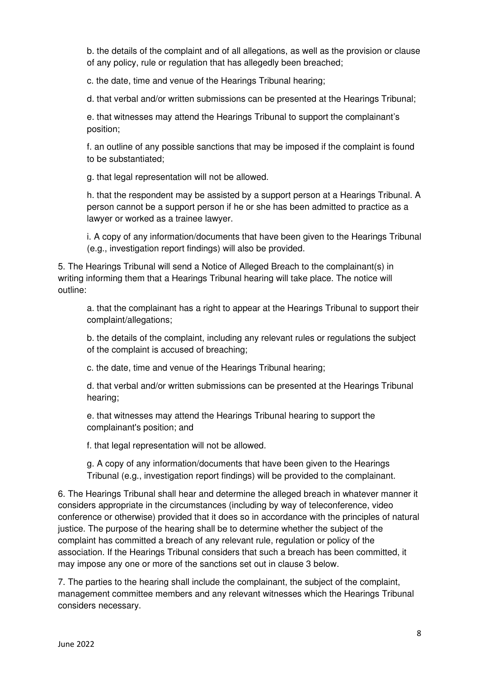b. the details of the complaint and of all allegations, as well as the provision or clause of any policy, rule or regulation that has allegedly been breached;

c. the date, time and venue of the Hearings Tribunal hearing;

d. that verbal and/or written submissions can be presented at the Hearings Tribunal;

e. that witnesses may attend the Hearings Tribunal to support the complainant's position;

f. an outline of any possible sanctions that may be imposed if the complaint is found to be substantiated;

g. that legal representation will not be allowed.

h. that the respondent may be assisted by a support person at a Hearings Tribunal. A person cannot be a support person if he or she has been admitted to practice as a lawyer or worked as a trainee lawyer.

i. A copy of any information/documents that have been given to the Hearings Tribunal (e.g., investigation report findings) will also be provided.

5. The Hearings Tribunal will send a Notice of Alleged Breach to the complainant(s) in writing informing them that a Hearings Tribunal hearing will take place. The notice will outline:

a. that the complainant has a right to appear at the Hearings Tribunal to support their complaint/allegations;

b. the details of the complaint, including any relevant rules or regulations the subject of the complaint is accused of breaching;

c. the date, time and venue of the Hearings Tribunal hearing;

d. that verbal and/or written submissions can be presented at the Hearings Tribunal hearing;

e. that witnesses may attend the Hearings Tribunal hearing to support the complainant's position; and

f. that legal representation will not be allowed.

g. A copy of any information/documents that have been given to the Hearings Tribunal (e.g., investigation report findings) will be provided to the complainant.

6. The Hearings Tribunal shall hear and determine the alleged breach in whatever manner it considers appropriate in the circumstances (including by way of teleconference, video conference or otherwise) provided that it does so in accordance with the principles of natural justice. The purpose of the hearing shall be to determine whether the subject of the complaint has committed a breach of any relevant rule, regulation or policy of the association. If the Hearings Tribunal considers that such a breach has been committed, it may impose any one or more of the sanctions set out in clause 3 below.

7. The parties to the hearing shall include the complainant, the subject of the complaint, management committee members and any relevant witnesses which the Hearings Tribunal considers necessary.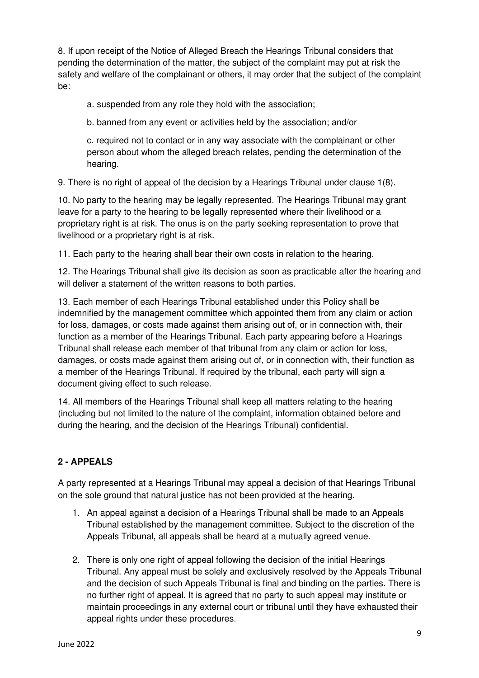8. If upon receipt of the Notice of Alleged Breach the Hearings Tribunal considers that pending the determination of the matter, the subject of the complaint may put at risk the safety and welfare of the complainant or others, it may order that the subject of the complaint be:

a. suspended from any role they hold with the association;

b. banned from any event or activities held by the association; and/or

c. required not to contact or in any way associate with the complainant or other person about whom the alleged breach relates, pending the determination of the hearing.

9. There is no right of appeal of the decision by a Hearings Tribunal under clause 1(8).

10. No party to the hearing may be legally represented. The Hearings Tribunal may grant leave for a party to the hearing to be legally represented where their livelihood or a proprietary right is at risk. The onus is on the party seeking representation to prove that livelihood or a proprietary right is at risk.

11. Each party to the hearing shall bear their own costs in relation to the hearing.

12. The Hearings Tribunal shall give its decision as soon as practicable after the hearing and will deliver a statement of the written reasons to both parties.

13. Each member of each Hearings Tribunal established under this Policy shall be indemnified by the management committee which appointed them from any claim or action for loss, damages, or costs made against them arising out of, or in connection with, their function as a member of the Hearings Tribunal. Each party appearing before a Hearings Tribunal shall release each member of that tribunal from any claim or action for loss, damages, or costs made against them arising out of, or in connection with, their function as a member of the Hearings Tribunal. If required by the tribunal, each party will sign a document giving effect to such release.

14. All members of the Hearings Tribunal shall keep all matters relating to the hearing (including but not limited to the nature of the complaint, information obtained before and during the hearing, and the decision of the Hearings Tribunal) confidential.

# **2 - APPEALS**

A party represented at a Hearings Tribunal may appeal a decision of that Hearings Tribunal on the sole ground that natural justice has not been provided at the hearing.

- 1. An appeal against a decision of a Hearings Tribunal shall be made to an Appeals Tribunal established by the management committee. Subject to the discretion of the Appeals Tribunal, all appeals shall be heard at a mutually agreed venue.
- 2. There is only one right of appeal following the decision of the initial Hearings Tribunal. Any appeal must be solely and exclusively resolved by the Appeals Tribunal and the decision of such Appeals Tribunal is final and binding on the parties. There is no further right of appeal. It is agreed that no party to such appeal may institute or maintain proceedings in any external court or tribunal until they have exhausted their appeal rights under these procedures.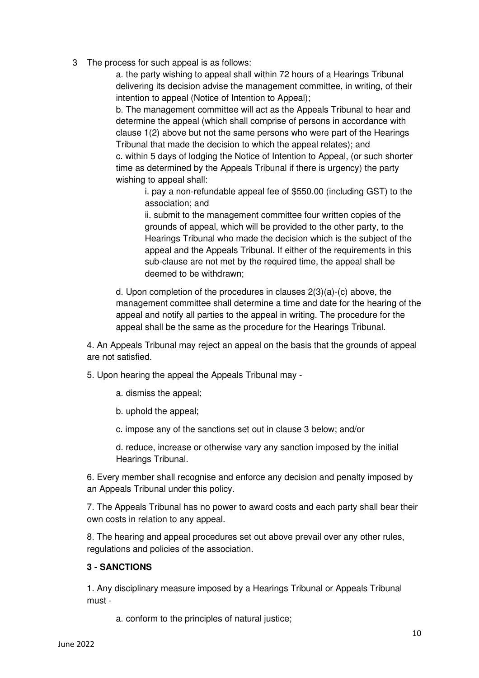3 The process for such appeal is as follows:

a. the party wishing to appeal shall within 72 hours of a Hearings Tribunal delivering its decision advise the management committee, in writing, of their intention to appeal (Notice of Intention to Appeal);

b. The management committee will act as the Appeals Tribunal to hear and determine the appeal (which shall comprise of persons in accordance with clause 1(2) above but not the same persons who were part of the Hearings Tribunal that made the decision to which the appeal relates); and c. within 5 days of lodging the Notice of Intention to Appeal, (or such shorter time as determined by the Appeals Tribunal if there is urgency) the party wishing to appeal shall:

i. pay a non-refundable appeal fee of \$550.00 (including GST) to the association; and

ii. submit to the management committee four written copies of the grounds of appeal, which will be provided to the other party, to the Hearings Tribunal who made the decision which is the subject of the appeal and the Appeals Tribunal. If either of the requirements in this sub-clause are not met by the required time, the appeal shall be deemed to be withdrawn;

d. Upon completion of the procedures in clauses 2(3)(a)-(c) above, the management committee shall determine a time and date for the hearing of the appeal and notify all parties to the appeal in writing. The procedure for the appeal shall be the same as the procedure for the Hearings Tribunal.

4. An Appeals Tribunal may reject an appeal on the basis that the grounds of appeal are not satisfied.

5. Upon hearing the appeal the Appeals Tribunal may -

a. dismiss the appeal;

b. uphold the appeal;

c. impose any of the sanctions set out in clause 3 below; and/or

d. reduce, increase or otherwise vary any sanction imposed by the initial Hearings Tribunal.

6. Every member shall recognise and enforce any decision and penalty imposed by an Appeals Tribunal under this policy.

7. The Appeals Tribunal has no power to award costs and each party shall bear their own costs in relation to any appeal.

8. The hearing and appeal procedures set out above prevail over any other rules, regulations and policies of the association.

### **3 - SANCTIONS**

1. Any disciplinary measure imposed by a Hearings Tribunal or Appeals Tribunal must -

a. conform to the principles of natural justice;